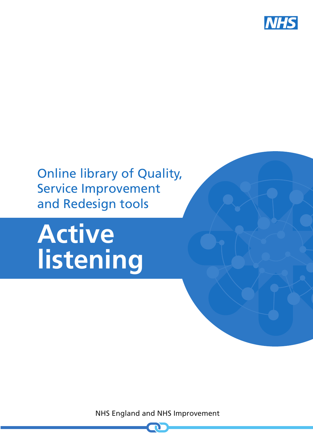

## Online library of Quality, Service Improvement and Redesign tools

# **Active listening**

NHS England and NHS Improvement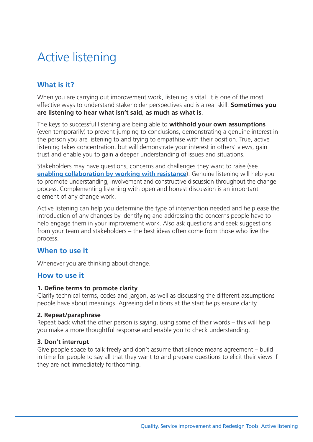## Active listening

### **What is it?**

When you are carrying out improvement work, listening is vital. It is one of the most effective ways to understand stakeholder perspectives and is a real skill. **Sometimes you are listening to hear what isn't said, as much as what is**.

The keys to successful listening are being able to **withhold your own assumptions** (even temporarily) to prevent jumping to conclusions, demonstrating a genuine interest in the person you are listening to and trying to empathise with their position. True, active listening takes concentration, but will demonstrate your interest in others' views, gain trust and enable you to gain a deeper understanding of issues and situations.

Stakeholders may have questions, concerns and challenges they want to raise (see **enabling [collaboration](https://improvement.nhs.uk/resources/resistance-enabling-collaboration) by working with resistance**). Genuine listening will help you to promote understanding, involvement and constructive discussion throughout the change process. Complementing listening with open and honest discussion is an important element of any change work.

Active listening can help you determine the type of intervention needed and help ease the introduction of any changes by identifying and addressing the concerns people have to help engage them in your improvement work. Also ask questions and seek suggestions from your team and stakeholders – the best ideas often come from those who live the process.

#### **When to use it**

Whenever you are thinking about change.

#### **How to use it**

#### **1. Define terms to promote clarity**

Clarify technical terms, codes and jargon, as well as discussing the different assumptions people have about meanings. Agreeing definitions at the start helps ensure clarity.

#### **2. Repeat/paraphrase**

Repeat back what the other person is saying, using some of their words – this will help you make a more thoughtful response and enable you to check understanding.

#### **3. Don't interrupt**

Give people space to talk freely and don't assume that silence means agreement – build in time for people to say all that they want to and prepare questions to elicit their views if they are not immediately forthcoming.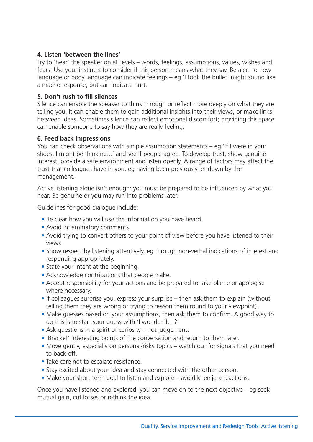#### **4. Listen 'between the lines'**

Try to 'hear' the speaker on all levels – words, feelings, assumptions, values, wishes and fears. Use your instincts to consider if this person means what they say. Be alert to how language or body language can indicate feelings – eg 'I took the bullet' might sound like a macho response, but can indicate hurt.

#### **5. Don't rush to fill silences**

Silence can enable the speaker to think through or reflect more deeply on what they are telling you. It can enable them to gain additional insights into their views, or make links between ideas. Sometimes silence can reflect emotional discomfort; providing this space can enable someone to say how they are really feeling.

#### **6. Feed back impressions**

You can check observations with simple assumption statements – eg 'If I were in your shoes, I might be thinking...' and see if people agree. To develop trust, show genuine interest, provide a safe environment and listen openly. A range of factors may affect the trust that colleagues have in you, eg having been previously let down by the management.

Active listening alone isn't enough: you must be prepared to be influenced by what you hear. Be genuine or you may run into problems later.

Guidelines for good dialogue include:

- Be clear how you will use the information you have heard.
- Avoid inflammatory comments.
- Avoid trying to convert others to your point of view before you have listened to their views.
- Show respect by listening attentively, eg through non-verbal indications of interest and responding appropriately.
- State your intent at the beginning.
- Acknowledge contributions that people make.
- Accept responsibility for your actions and be prepared to take blame or apologise where necessary.
- If colleagues surprise you, express your surprise then ask them to explain (without telling them they are wrong or trying to reason them round to your viewpoint).
- Make guesses based on your assumptions, then ask them to confirm. A good way to do this is to start your guess with 'I wonder if…?'
- Ask questions in a spirit of curiosity not judgement.
- 'Bracket' interesting points of the conversation and return to them later.
- Move gently, especially on personal/risky topics watch out for signals that you need to back off.
- Take care not to escalate resistance.
- Stay excited about your idea and stay connected with the other person.
- Make your short term goal to listen and explore avoid knee jerk reactions.

Once you have listened and explored, you can move on to the next objective – eg seek mutual gain, cut losses or rethink the idea.